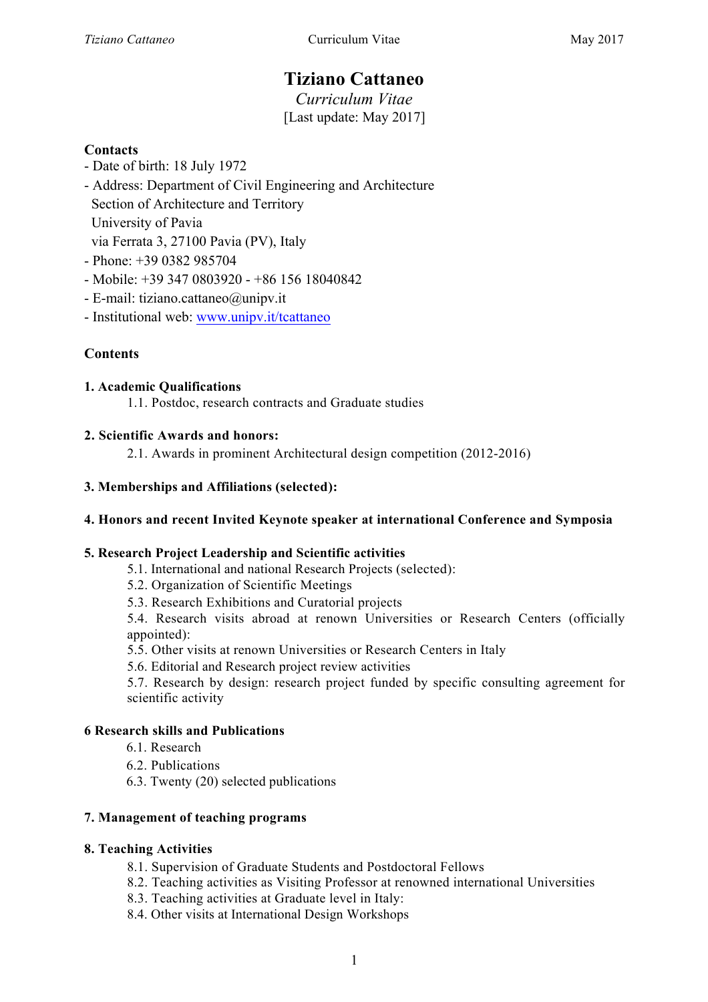# **Tiziano Cattaneo**

*Curriculum Vitae* [Last update: May 2017]

#### **Contacts**

- Date of birth: 18 July 1972
- Address: Department of Civil Engineering and Architecture Section of Architecture and Territory University of Pavia via Ferrata 3, 27100 Pavia (PV), Italy
- Phone: +39 0382 985704
- $-$  Mobile:  $+393470803920 +8615618040842$
- E-mail: tiziano.cattaneo@unipv.it
- Institutional web: www.unipv.it/tcattaneo

### **Contents**

#### **1. Academic Qualifications**

1.1. Postdoc, research contracts and Graduate studies

#### **2. Scientific Awards and honors:**

2.1. Awards in prominent Architectural design competition (2012-2016)

#### **3. Memberships and Affiliations (selected):**

#### **4. Honors and recent Invited Keynote speaker at international Conference and Symposia**

#### **5. Research Project Leadership and Scientific activities**

- 5.1. International and national Research Projects (selected):
- 5.2. Organization of Scientific Meetings
- 5.3. Research Exhibitions and Curatorial projects

5.4. Research visits abroad at renown Universities or Research Centers (officially appointed):

- 5.5. Other visits at renown Universities or Research Centers in Italy
- 5.6. Editorial and Research project review activities

5.7. Research by design: research project funded by specific consulting agreement for scientific activity

#### **6 Research skills and Publications**

- 6.1. Research
- 6.2. Publications
- 6.3. Twenty (20) selected publications

#### **7. Management of teaching programs**

#### **8. Teaching Activities**

- 8.1. Supervision of Graduate Students and Postdoctoral Fellows
- 8.2. Teaching activities as Visiting Professor at renowned international Universities
- 8.3. Teaching activities at Graduate level in Italy:
- 8.4. Other visits at International Design Workshops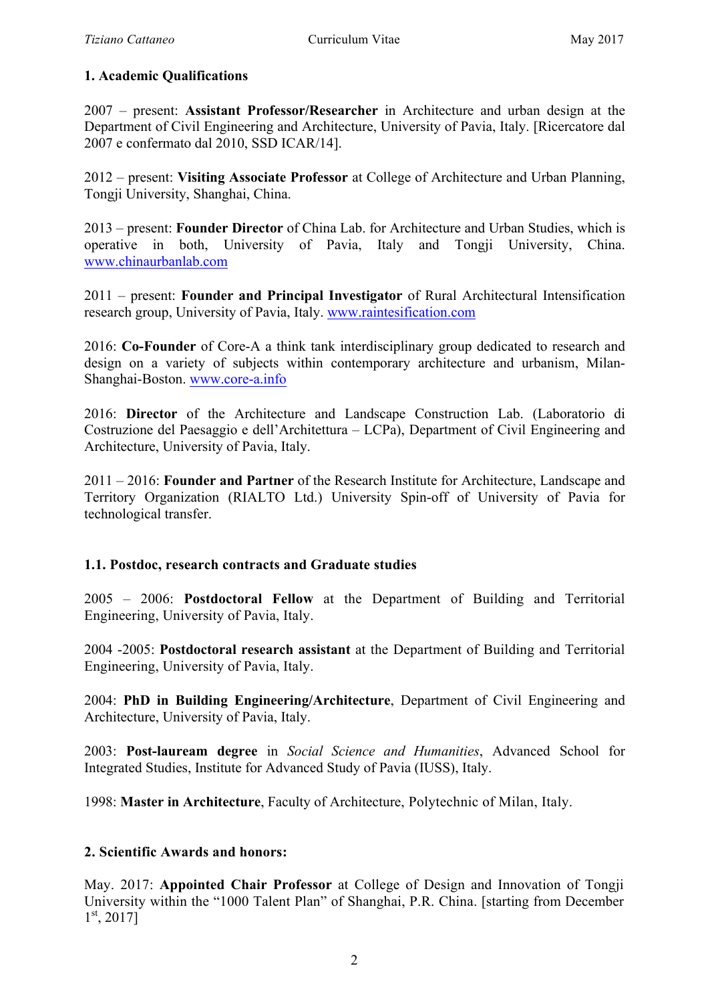### **1. Academic Qualifications**

2007 – present: **Assistant Professor/Researcher** in Architecture and urban design at the Department of Civil Engineering and Architecture, University of Pavia, Italy. [Ricercatore dal 2007 e confermato dal 2010, SSD ICAR/14].

2012 – present: **Visiting Associate Professor** at College of Architecture and Urban Planning, Tongji University, Shanghai, China.

2013 – present: **Founder Director** of China Lab. for Architecture and Urban Studies, which is operative in both, University of Pavia, Italy and Tongii University, China. www.chinaurbanlab.com

2011 – present: **Founder and Principal Investigator** of Rural Architectural Intensification research group, University of Pavia, Italy. www.raintesification.com

2016: **Co-Founder** of Core-A a think tank interdisciplinary group dedicated to research and design on a variety of subjects within contemporary architecture and urbanism, Milan-Shanghai-Boston. www.core-a.info

2016: **Director** of the Architecture and Landscape Construction Lab. (Laboratorio di Costruzione del Paesaggio e dell'Architettura – LCPa), Department of Civil Engineering and Architecture, University of Pavia, Italy.

2011 – 2016: **Founder and Partner** of the Research Institute for Architecture, Landscape and Territory Organization (RIALTO Ltd.) University Spin-off of University of Pavia for technological transfer.

### **1.1. Postdoc, research contracts and Graduate studies**

2005 – 2006: **Postdoctoral Fellow** at the Department of Building and Territorial Engineering, University of Pavia, Italy.

2004 -2005: **Postdoctoral research assistant** at the Department of Building and Territorial Engineering, University of Pavia, Italy.

2004: **PhD in Building Engineering/Architecture**, Department of Civil Engineering and Architecture, University of Pavia, Italy.

2003: **Post-lauream degree** in *Social Science and Humanities*, Advanced School for Integrated Studies, Institute for Advanced Study of Pavia (IUSS), Italy.

1998: **Master in Architecture**, Faculty of Architecture, Polytechnic of Milan, Italy.

### **2. Scientific Awards and honors:**

May. 2017: **Appointed Chair Professor** at College of Design and Innovation of Tongji University within the "1000 Talent Plan" of Shanghai, P.R. China. [starting from December  $1^{\text{st}}$ , 2017]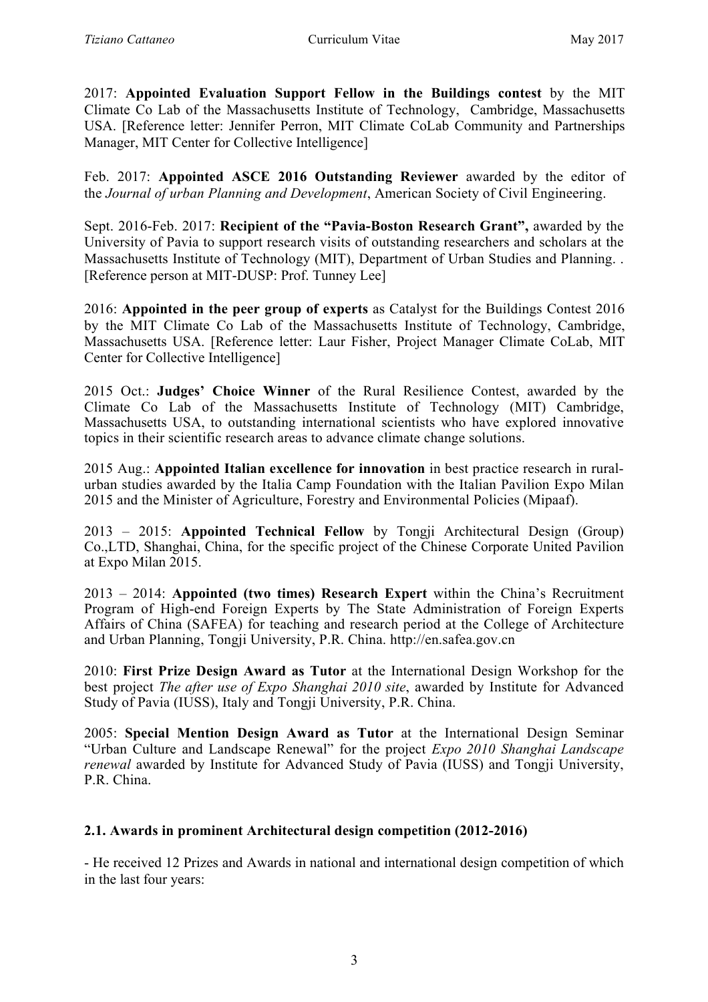2017: **Appointed Evaluation Support Fellow in the Buildings contest** by the MIT Climate Co Lab of the Massachusetts Institute of Technology, Cambridge, Massachusetts USA. [Reference letter: Jennifer Perron, MIT Climate CoLab Community and Partnerships Manager, MIT Center for Collective Intelligence]

Feb. 2017: **Appointed ASCE 2016 Outstanding Reviewer** awarded by the editor of the *Journal of urban Planning and Development*, American Society of Civil Engineering.

Sept. 2016-Feb. 2017: **Recipient of the "Pavia-Boston Research Grant",** awarded by the University of Pavia to support research visits of outstanding researchers and scholars at the Massachusetts Institute of Technology (MIT), Department of Urban Studies and Planning. . [Reference person at MIT-DUSP: Prof. Tunney Lee]

2016: **Appointed in the peer group of experts** as Catalyst for the Buildings Contest 2016 by the MIT Climate Co Lab of the Massachusetts Institute of Technology, Cambridge, Massachusetts USA. [Reference letter: Laur Fisher, Project Manager Climate CoLab, MIT Center for Collective Intelligence]

2015 Oct.: **Judges' Choice Winner** of the Rural Resilience Contest, awarded by the Climate Co Lab of the Massachusetts Institute of Technology (MIT) Cambridge, Massachusetts USA, to outstanding international scientists who have explored innovative topics in their scientific research areas to advance climate change solutions.

2015 Aug.: **Appointed Italian excellence for innovation** in best practice research in ruralurban studies awarded by the Italia Camp Foundation with the Italian Pavilion Expo Milan 2015 and the Minister of Agriculture, Forestry and Environmental Policies (Mipaaf).

2013 – 2015: **Appointed Technical Fellow** by Tongji Architectural Design (Group) Co.,LTD, Shanghai, China, for the specific project of the Chinese Corporate United Pavilion at Expo Milan 2015.

2013 – 2014: **Appointed (two times) Research Expert** within the China's Recruitment Program of High-end Foreign Experts by The State Administration of Foreign Experts Affairs of China (SAFEA) for teaching and research period at the College of Architecture and Urban Planning, Tongji University, P.R. China. http://en.safea.gov.cn

2010: **First Prize Design Award as Tutor** at the International Design Workshop for the best project *The after use of Expo Shanghai 2010 site*, awarded by Institute for Advanced Study of Pavia (IUSS), Italy and Tongji University, P.R. China.

2005: **Special Mention Design Award as Tutor** at the International Design Seminar "Urban Culture and Landscape Renewal" for the project *Expo 2010 Shanghai Landscape renewal* awarded by Institute for Advanced Study of Pavia (IUSS) and Tongji University, P.R. China.

# **2.1. Awards in prominent Architectural design competition (2012-2016)**

- He received 12 Prizes and Awards in national and international design competition of which in the last four years: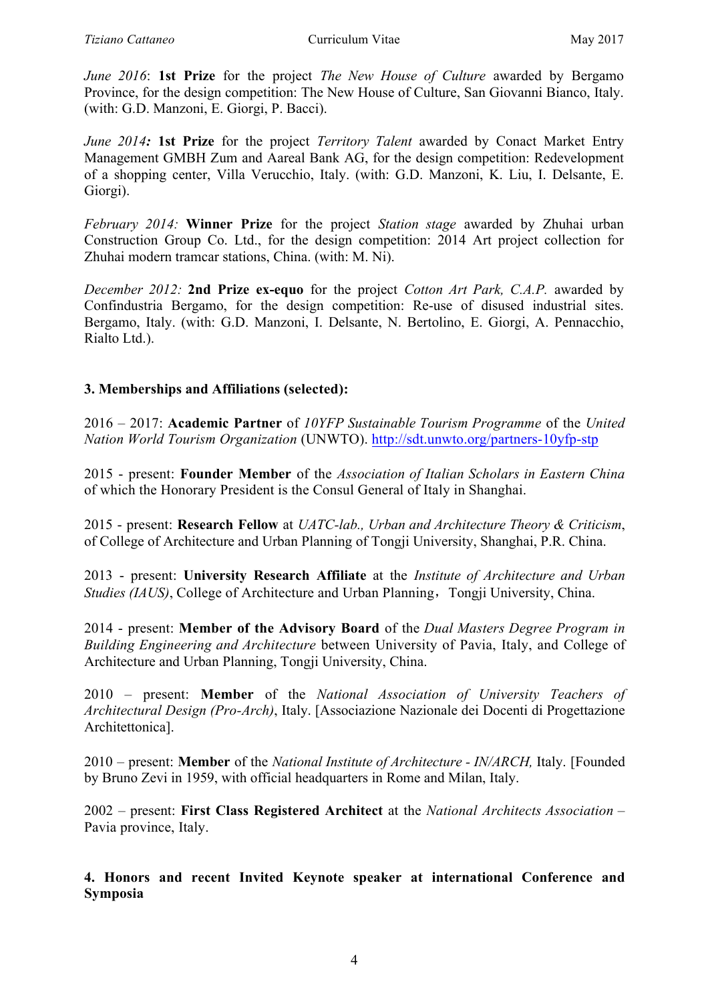*June 2016*: **1st Prize** for the project *The New House of Culture* awarded by Bergamo Province, for the design competition: The New House of Culture, San Giovanni Bianco, Italy. (with: G.D. Manzoni, E. Giorgi, P. Bacci).

*June 2014:* **1st Prize** for the project *Territory Talent* awarded by Conact Market Entry Management GMBH Zum and Aareal Bank AG, for the design competition: Redevelopment of a shopping center, Villa Verucchio, Italy. (with: G.D. Manzoni, K. Liu, I. Delsante, E. Giorgi).

*February 2014:* **Winner Prize** for the project *Station stage* awarded by Zhuhai urban Construction Group Co. Ltd., for the design competition: 2014 Art project collection for Zhuhai modern tramcar stations, China. (with: M. Ni).

*December 2012:* **2nd Prize ex-equo** for the project *Cotton Art Park, C.A.P.* awarded by Confindustria Bergamo, for the design competition: Re-use of disused industrial sites. Bergamo, Italy. (with: G.D. Manzoni, I. Delsante, N. Bertolino, E. Giorgi, A. Pennacchio, Rialto Ltd.).

# **3. Memberships and Affiliations (selected):**

2016 – 2017: **Academic Partner** of *10YFP Sustainable Tourism Programme* of the *United Nation World Tourism Organization* (UNWTO). http://sdt.unwto.org/partners-10yfp-stp

2015 - present: **Founder Member** of the *Association of Italian Scholars in Eastern China* of which the Honorary President is the Consul General of Italy in Shanghai.

2015 - present: **Research Fellow** at *UATC-lab., Urban and Architecture Theory & Criticism*, of College of Architecture and Urban Planning of Tongji University, Shanghai, P.R. China.

2013 - present: **University Research Affiliate** at the *Institute of Architecture and Urban Studies (IAUS)*, College of Architecture and Urban Planning, Tongji University, China.

2014 - present: **Member of the Advisory Board** of the *Dual Masters Degree Program in Building Engineering and Architecture* between University of Pavia, Italy, and College of Architecture and Urban Planning, Tongji University, China.

2010 – present: **Member** of the *National Association of University Teachers of Architectural Design (Pro-Arch)*, Italy. [Associazione Nazionale dei Docenti di Progettazione Architettonica].

2010 – present: **Member** of the *National Institute of Architecture - IN/ARCH,* Italy. [Founded by Bruno Zevi in 1959, with official headquarters in Rome and Milan, Italy.

2002 – present: **First Class Registered Architect** at the *National Architects Association* – Pavia province, Italy.

**4. Honors and recent Invited Keynote speaker at international Conference and Symposia**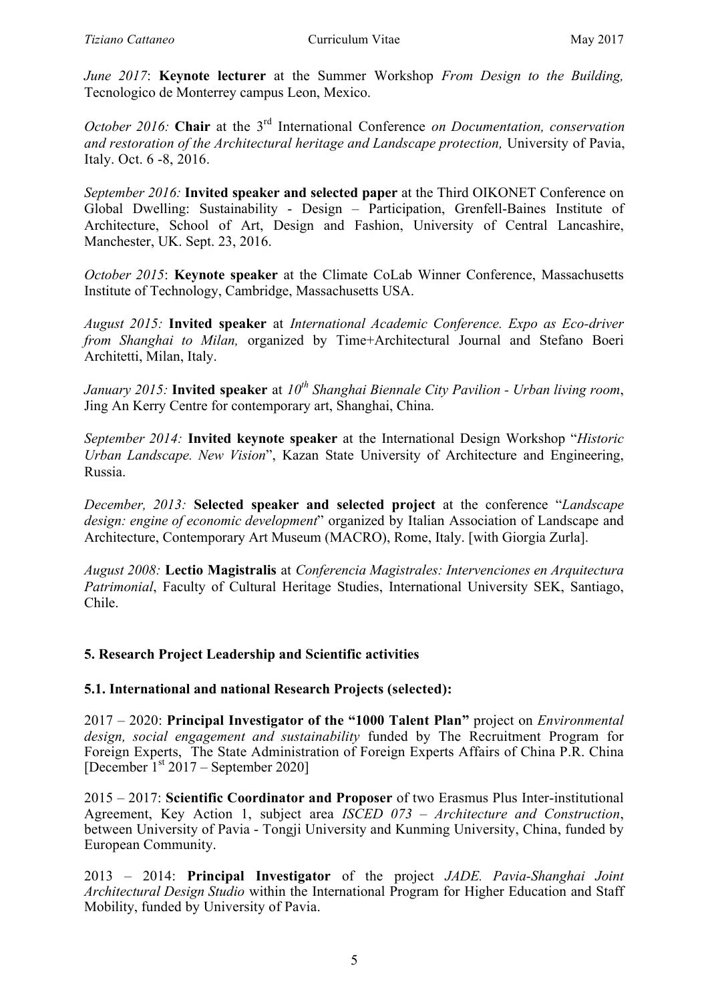*June 2017*: **Keynote lecturer** at the Summer Workshop *From Design to the Building,* Tecnologico de Monterrey campus Leon, Mexico.

*October 2016:* **Chair** at the 3rd International Conference *on Documentation, conservation and restoration of the Architectural heritage and Landscape protection,* University of Pavia, Italy. Oct. 6 -8, 2016.

*September 2016:* **Invited speaker and selected paper** at the Third OIKONET Conference on Global Dwelling: Sustainability - Design – Participation, Grenfell-Baines Institute of Architecture, School of Art, Design and Fashion, University of Central Lancashire, Manchester, UK. Sept. 23, 2016.

*October 2015*: **Keynote speaker** at the Climate CoLab Winner Conference, Massachusetts Institute of Technology, Cambridge, Massachusetts USA.

*August 2015:* **Invited speaker** at *International Academic Conference. Expo as Eco-driver from Shanghai to Milan,* organized by Time+Architectural Journal and Stefano Boeri Architetti, Milan, Italy.

*January 2015:* **Invited speaker** at  $10^{th}$  *Shanghai Biennale City Pavilion - Urban living room*, Jing An Kerry Centre for contemporary art, Shanghai, China.

*September 2014:* **Invited keynote speaker** at the International Design Workshop "*Historic Urban Landscape. New Vision*", Kazan State University of Architecture and Engineering, Russia.

*December, 2013:* **Selected speaker and selected project** at the conference "*Landscape design: engine of economic development*" organized by Italian Association of Landscape and Architecture, Contemporary Art Museum (MACRO), Rome, Italy. [with Giorgia Zurla].

*August 2008:* **Lectio Magistralis** at *Conferencia Magistrales: Intervenciones en Arquitectura Patrimonial*, Faculty of Cultural Heritage Studies, International University SEK, Santiago, Chile.

### **5. Research Project Leadership and Scientific activities**

### **5.1. International and national Research Projects (selected):**

2017 – 2020: **Principal Investigator of the "1000 Talent Plan"** project on *Environmental design, social engagement and sustainability* funded by The Recruitment Program for Foreign Experts, The State Administration of Foreign Experts Affairs of China P.R. China [December  $1<sup>st</sup> 2017$  – September 2020]

2015 – 2017: **Scientific Coordinator and Proposer** of two Erasmus Plus Inter-institutional Agreement, Key Action 1, subject area *ISCED 073 – Architecture and Construction*, between University of Pavia - Tongji University and Kunming University, China, funded by European Community.

2013 – 2014: **Principal Investigator** of the project *JADE. Pavia-Shanghai Joint Architectural Design Studio* within the International Program for Higher Education and Staff Mobility, funded by University of Pavia.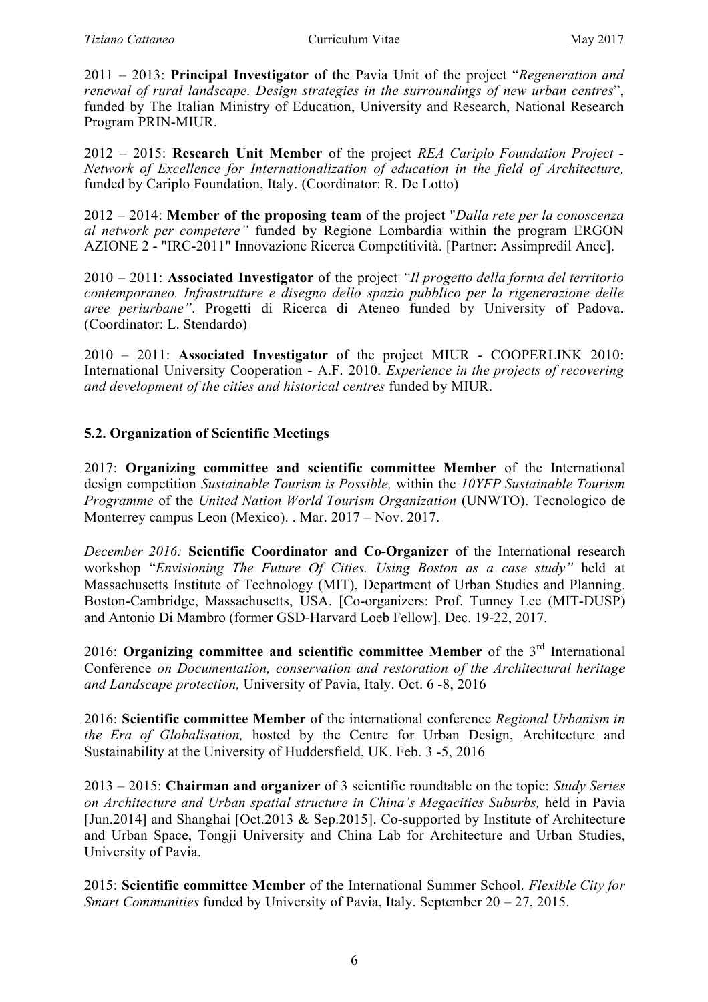2011 – 2013: **Principal Investigator** of the Pavia Unit of the project "*Regeneration and renewal of rural landscape. Design strategies in the surroundings of new urban centres*", funded by The Italian Ministry of Education, University and Research, National Research Program PRIN-MIUR.

2012 – 2015: **Research Unit Member** of the project *REA Cariplo Foundation Project - Network of Excellence for Internationalization of education in the field of Architecture,* funded by Cariplo Foundation, Italy. (Coordinator: R. De Lotto)

2012 – 2014: **Member of the proposing team** of the project "*Dalla rete per la conoscenza al network per competere"* funded by Regione Lombardia within the program ERGON AZIONE 2 - "IRC-2011" Innovazione Ricerca Competitività. [Partner: Assimpredil Ance].

2010 – 2011: **Associated Investigator** of the project *"Il progetto della forma del territorio contemporaneo. Infrastrutture e disegno dello spazio pubblico per la rigenerazione delle aree periurbane"*. Progetti di Ricerca di Ateneo funded by University of Padova. (Coordinator: L. Stendardo)

2010 – 2011: **Associated Investigator** of the project MIUR - COOPERLINK 2010: International University Cooperation - A.F. 2010. *Experience in the projects of recovering and development of the cities and historical centres* funded by MIUR.

# **5.2. Organization of Scientific Meetings**

2017: **Organizing committee and scientific committee Member** of the International design competition *Sustainable Tourism is Possible,* within the *10YFP Sustainable Tourism Programme* of the *United Nation World Tourism Organization* (UNWTO). Tecnologico de Monterrey campus Leon (Mexico). . Mar. 2017 – Nov. 2017.

*December 2016:* **Scientific Coordinator and Co-Organizer** of the International research workshop "*Envisioning The Future Of Cities. Using Boston as a case study"* held at Massachusetts Institute of Technology (MIT), Department of Urban Studies and Planning. Boston-Cambridge, Massachusetts, USA. [Co-organizers: Prof. Tunney Lee (MIT-DUSP) and Antonio Di Mambro (former GSD-Harvard Loeb Fellow]. Dec. 19-22, 2017.

2016: **Organizing committee and scientific committee Member** of the 3rd International Conference *on Documentation, conservation and restoration of the Architectural heritage and Landscape protection,* University of Pavia, Italy. Oct. 6 -8, 2016

2016: **Scientific committee Member** of the international conference *Regional Urbanism in the Era of Globalisation,* hosted by the Centre for Urban Design, Architecture and Sustainability at the University of Huddersfield, UK. Feb. 3 -5, 2016

2013 – 2015: **Chairman and organizer** of 3 scientific roundtable on the topic: *Study Series on Architecture and Urban spatial structure in China's Megacities Suburbs,* held in Pavia [Jun.2014] and Shanghai [Oct.2013 & Sep.2015]. Co-supported by Institute of Architecture and Urban Space, Tongji University and China Lab for Architecture and Urban Studies, University of Pavia.

2015: **Scientific committee Member** of the International Summer School. *Flexible City for Smart Communities* funded by University of Pavia, Italy. September 20 – 27, 2015.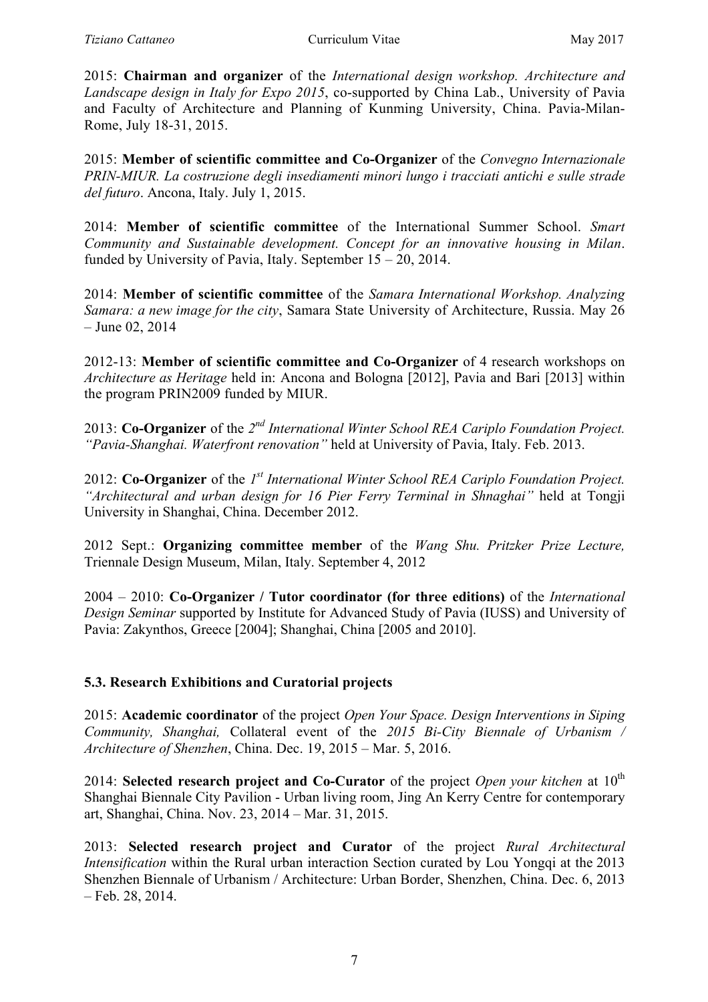2015: **Chairman and organizer** of the *International design workshop. Architecture and Landscape design in Italy for Expo 2015*, co-supported by China Lab., University of Pavia and Faculty of Architecture and Planning of Kunming University, China. Pavia-Milan-Rome, July 18-31, 2015.

2015: **Member of scientific committee and Co-Organizer** of the *Convegno Internazionale PRIN-MIUR. La costruzione degli insediamenti minori lungo i tracciati antichi e sulle strade del futuro*. Ancona, Italy. July 1, 2015.

2014: **Member of scientific committee** of the International Summer School. *Smart Community and Sustainable development. Concept for an innovative housing in Milan*. funded by University of Pavia, Italy. September 15 – 20, 2014.

2014: **Member of scientific committee** of the *Samara International Workshop. Analyzing Samara: a new image for the city*, Samara State University of Architecture, Russia. May 26 – June 02, 2014

2012-13: **Member of scientific committee and Co-Organizer** of 4 research workshops on *Architecture as Heritage* held in: Ancona and Bologna [2012], Pavia and Bari [2013] within the program PRIN2009 funded by MIUR.

2013: **Co-Organizer** of the *2nd International Winter School REA Cariplo Foundation Project. "Pavia-Shanghai. Waterfront renovation"* held at University of Pavia, Italy. Feb. 2013.

2012: **Co-Organizer** of the *1st International Winter School REA Cariplo Foundation Project. "Architectural and urban design for 16 Pier Ferry Terminal in Shnaghai"* held at Tongji University in Shanghai, China. December 2012.

2012 Sept.: **Organizing committee member** of the *Wang Shu. Pritzker Prize Lecture,* Triennale Design Museum, Milan, Italy. September 4, 2012

2004 – 2010: **Co-Organizer / Tutor coordinator (for three editions)** of the *International Design Seminar* supported by Institute for Advanced Study of Pavia (IUSS) and University of Pavia: Zakynthos, Greece [2004]; Shanghai, China [2005 and 2010].

# **5.3. Research Exhibitions and Curatorial projects**

2015: **Academic coordinator** of the project *Open Your Space. Design Interventions in Siping Community, Shanghai,* Collateral event of the *2015 Bi-City Biennale of Urbanism / Architecture of Shenzhen*, China. Dec. 19, 2015 – Mar. 5, 2016.

2014: **Selected research project and Co-Curator** of the project *Open your kitchen* at 10<sup>th</sup> Shanghai Biennale City Pavilion - Urban living room, Jing An Kerry Centre for contemporary art, Shanghai, China. Nov. 23, 2014 – Mar. 31, 2015.

2013: **Selected research project and Curator** of the project *Rural Architectural Intensification* within the Rural urban interaction Section curated by Lou Yongqi at the 2013 Shenzhen Biennale of Urbanism / Architecture: Urban Border, Shenzhen, China. Dec. 6, 2013 – Feb. 28, 2014.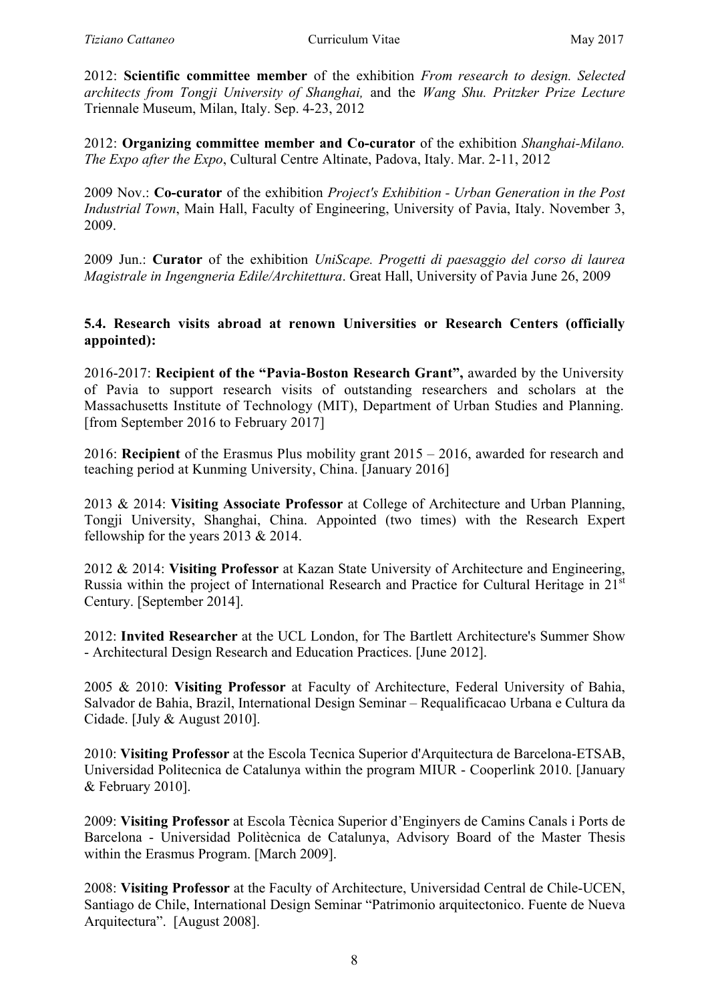2012: **Scientific committee member** of the exhibition *From research to design. Selected architects from Tongji University of Shanghai,* and the *Wang Shu. Pritzker Prize Lecture* Triennale Museum, Milan, Italy. Sep. 4-23, 2012

2012: **Organizing committee member and Co-curator** of the exhibition *Shanghai-Milano. The Expo after the Expo*, Cultural Centre Altinate, Padova, Italy. Mar. 2-11, 2012

2009 Nov.: **Co-curator** of the exhibition *Project's Exhibition - Urban Generation in the Post Industrial Town*, Main Hall, Faculty of Engineering, University of Pavia, Italy. November 3, 2009.

2009 Jun.: **Curator** of the exhibition *UniScape. Progetti di paesaggio del corso di laurea Magistrale in Ingengneria Edile/Architettura*. Great Hall, University of Pavia June 26, 2009

# **5.4. Research visits abroad at renown Universities or Research Centers (officially appointed):**

2016-2017: **Recipient of the "Pavia-Boston Research Grant",** awarded by the University of Pavia to support research visits of outstanding researchers and scholars at the Massachusetts Institute of Technology (MIT), Department of Urban Studies and Planning. [from September 2016 to February 2017]

2016: **Recipient** of the Erasmus Plus mobility grant 2015 – 2016, awarded for research and teaching period at Kunming University, China. [January 2016]

2013 & 2014: **Visiting Associate Professor** at College of Architecture and Urban Planning, Tongji University, Shanghai, China. Appointed (two times) with the Research Expert fellowship for the years 2013 & 2014.

2012 & 2014: **Visiting Professor** at Kazan State University of Architecture and Engineering, Russia within the project of International Research and Practice for Cultural Heritage in 21<sup>st</sup> Century. [September 2014].

2012: **Invited Researcher** at the UCL London, for The Bartlett Architecture's Summer Show - Architectural Design Research and Education Practices. [June 2012].

2005 & 2010: **Visiting Professor** at Faculty of Architecture, Federal University of Bahia, Salvador de Bahia, Brazil, International Design Seminar – Requalificacao Urbana e Cultura da Cidade. [July & August 2010].

2010: **Visiting Professor** at the Escola Tecnica Superior d'Arquitectura de Barcelona-ETSAB, Universidad Politecnica de Catalunya within the program MIUR - Cooperlink 2010. [January & February 2010].

2009: **Visiting Professor** at Escola Tècnica Superior d'Enginyers de Camins Canals i Ports de Barcelona - Universidad Politècnica de Catalunya, Advisory Board of the Master Thesis within the Erasmus Program. [March 2009].

2008: **Visiting Professor** at the Faculty of Architecture, Universidad Central de Chile-UCEN, Santiago de Chile, International Design Seminar "Patrimonio arquitectonico. Fuente de Nueva Arquitectura". [August 2008].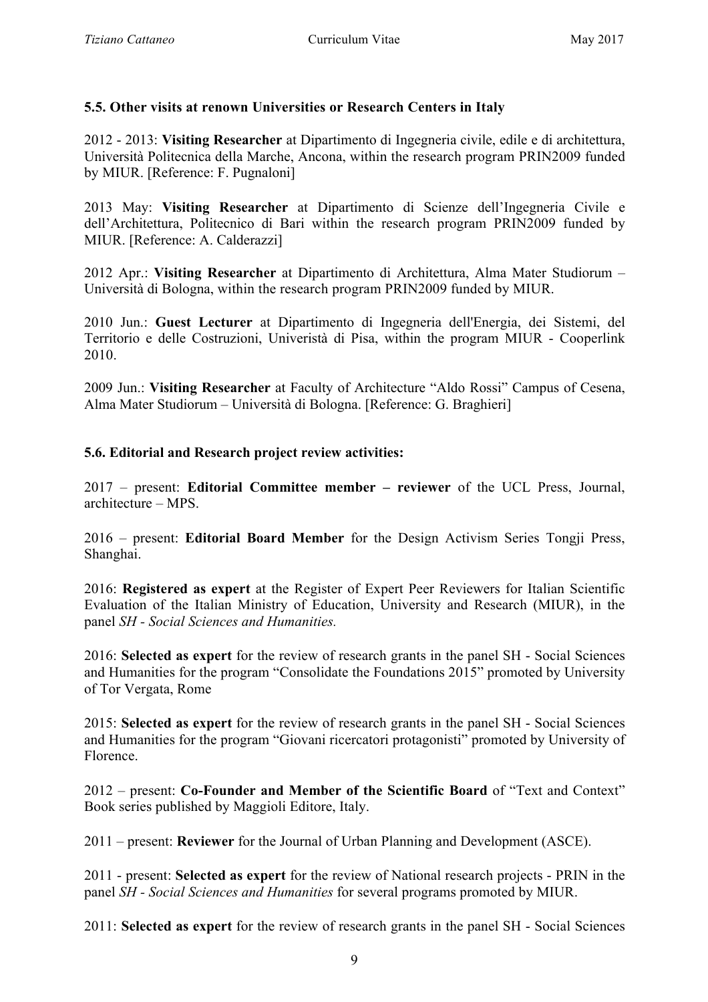# **5.5. Other visits at renown Universities or Research Centers in Italy**

2012 - 2013: **Visiting Researcher** at Dipartimento di Ingegneria civile, edile e di architettura, Università Politecnica della Marche, Ancona, within the research program PRIN2009 funded by MIUR. [Reference: F. Pugnaloni]

2013 May: **Visiting Researcher** at Dipartimento di Scienze dell'Ingegneria Civile e dell'Architettura, Politecnico di Bari within the research program PRIN2009 funded by MIUR. [Reference: A. Calderazzi]

2012 Apr.: **Visiting Researcher** at Dipartimento di Architettura, Alma Mater Studiorum – Università di Bologna, within the research program PRIN2009 funded by MIUR.

2010 Jun.: **Guest Lecturer** at Dipartimento di Ingegneria dell'Energia, dei Sistemi, del Territorio e delle Costruzioni, Univeristà di Pisa, within the program MIUR - Cooperlink 2010.

2009 Jun.: **Visiting Researcher** at Faculty of Architecture "Aldo Rossi" Campus of Cesena, Alma Mater Studiorum – Università di Bologna. [Reference: G. Braghieri]

# **5.6. Editorial and Research project review activities:**

2017 – present: **Editorial Committee member – reviewer** of the UCL Press, Journal, architecture – MPS.

2016 – present: **Editorial Board Member** for the Design Activism Series Tongji Press, Shanghai.

2016: **Registered as expert** at the Register of Expert Peer Reviewers for Italian Scientific Evaluation of the Italian Ministry of Education, University and Research (MIUR), in the panel *SH - Social Sciences and Humanities.*

2016: **Selected as expert** for the review of research grants in the panel SH - Social Sciences and Humanities for the program "Consolidate the Foundations 2015" promoted by University of Tor Vergata, Rome

2015: **Selected as expert** for the review of research grants in the panel SH - Social Sciences and Humanities for the program "Giovani ricercatori protagonisti" promoted by University of Florence.

2012 – present: **Co-Founder and Member of the Scientific Board** of "Text and Context" Book series published by Maggioli Editore, Italy.

2011 – present: **Reviewer** for the Journal of Urban Planning and Development (ASCE).

2011 - present: **Selected as expert** for the review of National research projects - PRIN in the panel *SH - Social Sciences and Humanities* for several programs promoted by MIUR.

2011: **Selected as expert** for the review of research grants in the panel SH - Social Sciences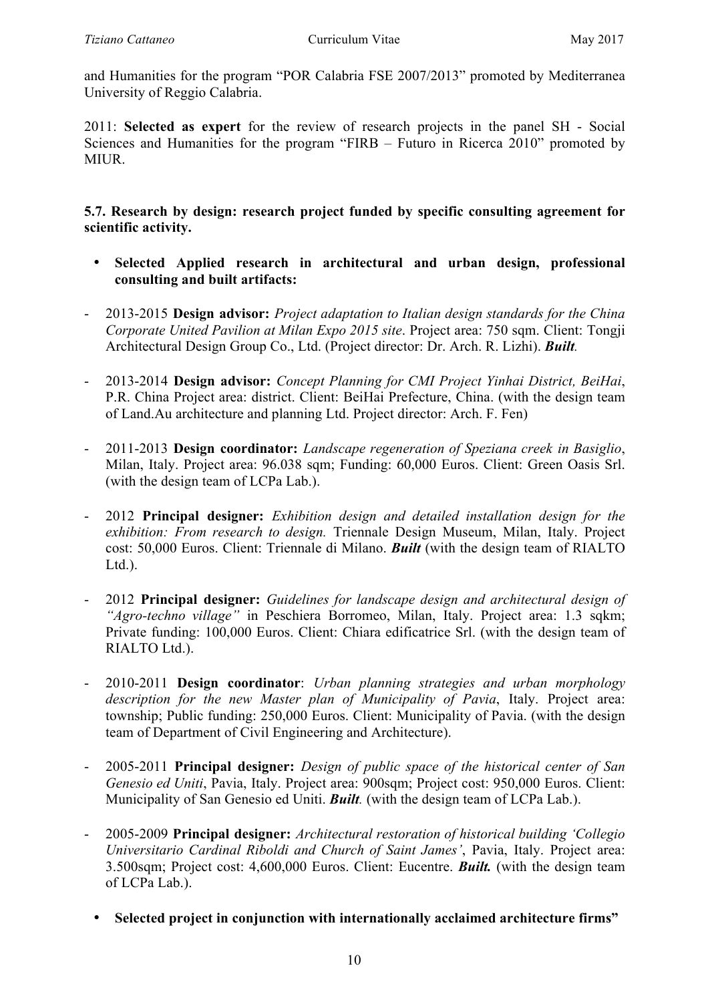and Humanities for the program "POR Calabria FSE 2007/2013" promoted by Mediterranea University of Reggio Calabria.

2011: **Selected as expert** for the review of research projects in the panel SH - Social Sciences and Humanities for the program "FIRB – Futuro in Ricerca 2010" promoted by MIUR.

**5.7. Research by design: research project funded by specific consulting agreement for scientific activity.**

- **Selected Applied research in architectural and urban design, professional consulting and built artifacts:**
- 2013-2015 **Design advisor:** *Project adaptation to Italian design standards for the China Corporate United Pavilion at Milan Expo 2015 site*. Project area: 750 sqm. Client: Tongji Architectural Design Group Co., Ltd. (Project director: Dr. Arch. R. Lizhi). *Built.*
- 2013-2014 **Design advisor:** *Concept Planning for CMI Project Yinhai District, BeiHai*, P.R. China Project area: district. Client: BeiHai Prefecture, China. (with the design team of Land.Au architecture and planning Ltd. Project director: Arch. F. Fen)
- 2011-2013 **Design coordinator:** *Landscape regeneration of Speziana creek in Basiglio*, Milan, Italy. Project area: 96.038 sqm; Funding: 60,000 Euros. Client: Green Oasis Srl. (with the design team of LCPa Lab.).
- 2012 **Principal designer:** *Exhibition design and detailed installation design for the exhibition: From research to design.* Triennale Design Museum, Milan, Italy. Project cost: 50,000 Euros. Client: Triennale di Milano. *Built* (with the design team of RIALTO  $Ltd.$ ).
- 2012 **Principal designer:** *Guidelines for landscape design and architectural design of "Agro-techno village"* in Peschiera Borromeo, Milan, Italy. Project area: 1.3 sqkm; Private funding: 100,000 Euros. Client: Chiara edificatrice Srl. (with the design team of RIALTO Ltd.).
- 2010-2011 **Design coordinator**: *Urban planning strategies and urban morphology description for the new Master plan of Municipality of Pavia*, Italy. Project area: township; Public funding: 250,000 Euros. Client: Municipality of Pavia. (with the design team of Department of Civil Engineering and Architecture).
- 2005-2011 **Principal designer:** *Design of public space of the historical center of San Genesio ed Uniti*, Pavia, Italy. Project area: 900sqm; Project cost: 950,000 Euros. Client: Municipality of San Genesio ed Uniti. *Built.* (with the design team of LCPa Lab.).
- 2005-2009 **Principal designer:** *Architectural restoration of historical building 'Collegio Universitario Cardinal Riboldi and Church of Saint James'*, Pavia, Italy. Project area: 3.500sqm; Project cost: 4,600,000 Euros. Client: Eucentre. *Built.* (with the design team of LCPa Lab.).
	- **Selected project in conjunction with internationally acclaimed architecture firms"**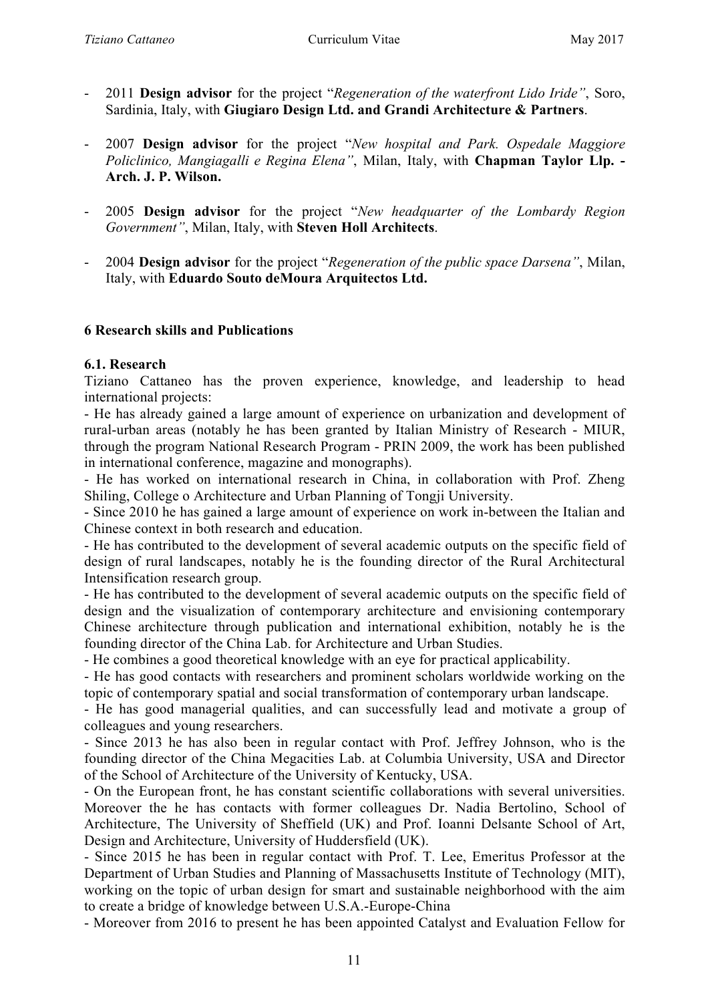- 2011 **Design advisor** for the project "*Regeneration of the waterfront Lido Iride"*, Soro, Sardinia, Italy, with **Giugiaro Design Ltd. and Grandi Architecture & Partners**.
- 2007 **Design advisor** for the project "*New hospital and Park. Ospedale Maggiore Policlinico, Mangiagalli e Regina Elena"*, Milan, Italy, with **Chapman Taylor Llp. - Arch. J. P. Wilson.**
- 2005 **Design advisor** for the project "*New headquarter of the Lombardy Region Government"*, Milan, Italy, with **Steven Holl Architects**.
- 2004 **Design advisor** for the project "*Regeneration of the public space Darsena"*, Milan, Italy, with **Eduardo Souto deMoura Arquitectos Ltd.**

### **6 Research skills and Publications**

### **6.1. Research**

Tiziano Cattaneo has the proven experience, knowledge, and leadership to head international projects:

- He has already gained a large amount of experience on urbanization and development of rural-urban areas (notably he has been granted by Italian Ministry of Research - MIUR, through the program National Research Program - PRIN 2009, the work has been published in international conference, magazine and monographs).

- He has worked on international research in China, in collaboration with Prof. Zheng Shiling, College o Architecture and Urban Planning of Tongji University.

- Since 2010 he has gained a large amount of experience on work in-between the Italian and Chinese context in both research and education.

- He has contributed to the development of several academic outputs on the specific field of design of rural landscapes, notably he is the founding director of the Rural Architectural Intensification research group.

- He has contributed to the development of several academic outputs on the specific field of design and the visualization of contemporary architecture and envisioning contemporary Chinese architecture through publication and international exhibition, notably he is the founding director of the China Lab. for Architecture and Urban Studies.

- He combines a good theoretical knowledge with an eye for practical applicability.

- He has good contacts with researchers and prominent scholars worldwide working on the topic of contemporary spatial and social transformation of contemporary urban landscape.

- He has good managerial qualities, and can successfully lead and motivate a group of colleagues and young researchers.

- Since 2013 he has also been in regular contact with Prof. Jeffrey Johnson, who is the founding director of the China Megacities Lab. at Columbia University, USA and Director of the School of Architecture of the University of Kentucky, USA.

- On the European front, he has constant scientific collaborations with several universities. Moreover the he has contacts with former colleagues Dr. Nadia Bertolino, School of Architecture, The University of Sheffield (UK) and Prof. Ioanni Delsante School of Art, Design and Architecture, University of Huddersfield (UK).

- Since 2015 he has been in regular contact with Prof. T. Lee, Emeritus Professor at the Department of Urban Studies and Planning of Massachusetts Institute of Technology (MIT), working on the topic of urban design for smart and sustainable neighborhood with the aim to create a bridge of knowledge between U.S.A.-Europe-China

- Moreover from 2016 to present he has been appointed Catalyst and Evaluation Fellow for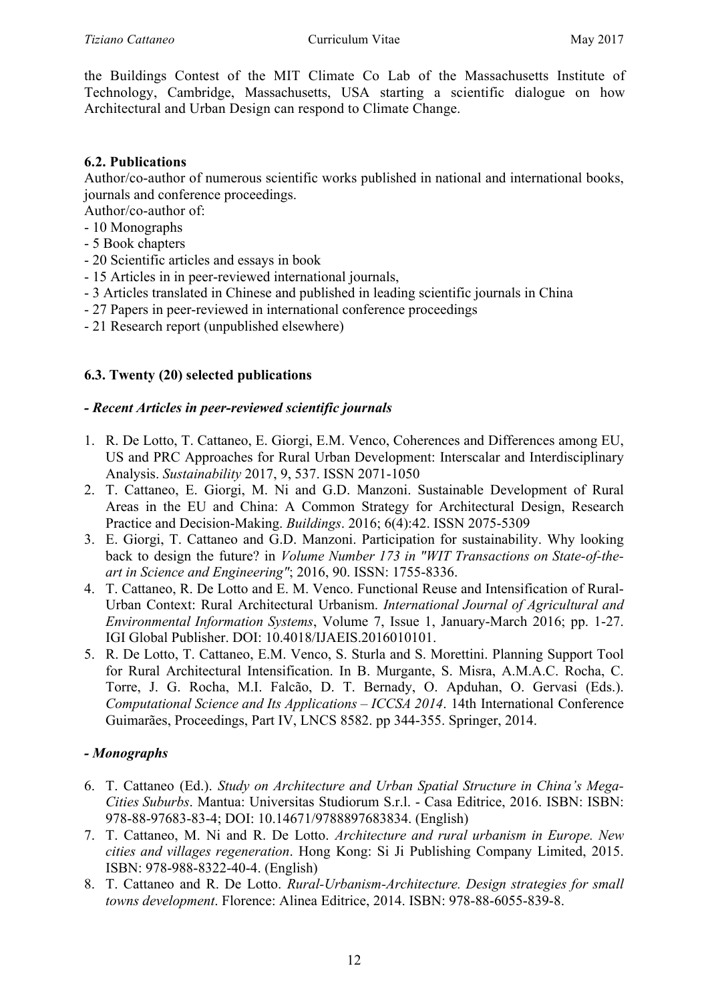the Buildings Contest of the MIT Climate Co Lab of the Massachusetts Institute of Technology, Cambridge, Massachusetts, USA starting a scientific dialogue on how Architectural and Urban Design can respond to Climate Change.

# **6.2. Publications**

Author/co-author of numerous scientific works published in national and international books, journals and conference proceedings.

Author/co-author of:

- 10 Monographs
- 5 Book chapters
- 20 Scientific articles and essays in book
- 15 Articles in in peer-reviewed international journals,
- 3 Articles translated in Chinese and published in leading scientific journals in China
- 27 Papers in peer-reviewed in international conference proceedings
- 21 Research report (unpublished elsewhere)

# **6.3. Twenty (20) selected publications**

# *- Recent Articles in peer-reviewed scientific journals*

- 1. R. De Lotto, T. Cattaneo, E. Giorgi, E.M. Venco, Coherences and Differences among EU, US and PRC Approaches for Rural Urban Development: Interscalar and Interdisciplinary Analysis. *Sustainability* 2017, 9, 537. ISSN 2071-1050
- 2. T. Cattaneo, E. Giorgi, M. Ni and G.D. Manzoni. Sustainable Development of Rural Areas in the EU and China: A Common Strategy for Architectural Design, Research Practice and Decision-Making. *Buildings*. 2016; 6(4):42. ISSN 2075-5309
- 3. E. Giorgi, T. Cattaneo and G.D. Manzoni. Participation for sustainability. Why looking back to design the future? in *Volume Number 173 in "WIT Transactions on State-of-theart in Science and Engineering"*; 2016, 90. ISSN: 1755-8336.
- 4. T. Cattaneo, R. De Lotto and E. M. Venco. Functional Reuse and Intensification of Rural-Urban Context: Rural Architectural Urbanism. *International Journal of Agricultural and Environmental Information Systems*, Volume 7, Issue 1, January-March 2016; pp. 1-27. IGI Global Publisher. DOI: 10.4018/IJAEIS.2016010101.
- 5. R. De Lotto, T. Cattaneo, E.M. Venco, S. Sturla and S. Morettini. Planning Support Tool for Rural Architectural Intensification. In B. Murgante, S. Misra, A.M.A.C. Rocha, C. Torre, J. G. Rocha, M.I. Falcão, D. T. Bernady, O. Apduhan, O. Gervasi (Eds.). *Computational Science and Its Applications – ICCSA 2014*. 14th International Conference Guimarães, Proceedings, Part IV, LNCS 8582. pp 344-355. Springer, 2014.

### *- Monographs*

- 6. T. Cattaneo (Ed.). *Study on Architecture and Urban Spatial Structure in China's Mega-Cities Suburbs*. Mantua: Universitas Studiorum S.r.l. - Casa Editrice, 2016. ISBN: ISBN: 978-88-97683-83-4; DOI: 10.14671/9788897683834. (English)
- 7. T. Cattaneo, M. Ni and R. De Lotto. *Architecture and rural urbanism in Europe. New cities and villages regeneration*. Hong Kong: Si Ji Publishing Company Limited, 2015. ISBN: 978-988-8322-40-4. (English)
- 8. T. Cattaneo and R. De Lotto. *Rural-Urbanism-Architecture. Design strategies for small towns development*. Florence: Alinea Editrice, 2014. ISBN: 978-88-6055-839-8.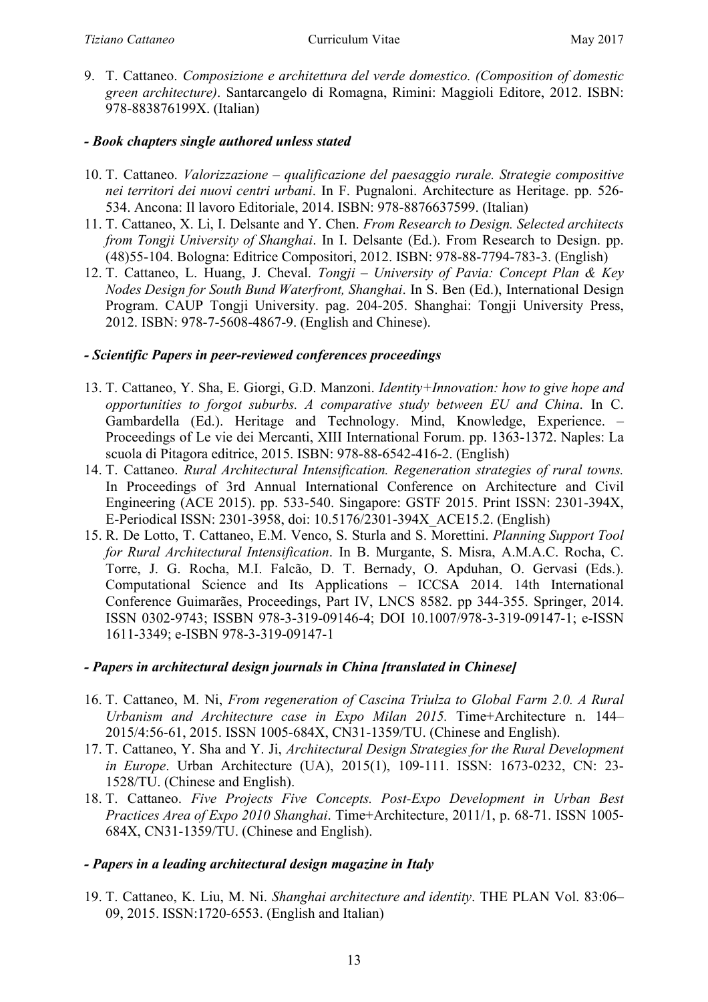9. T. Cattaneo. *Composizione e architettura del verde domestico. (Composition of domestic green architecture)*. Santarcangelo di Romagna, Rimini: Maggioli Editore, 2012. ISBN: 978-883876199X. (Italian)

# *- Book chapters single authored unless stated*

- 10. T. Cattaneo. *Valorizzazione – qualificazione del paesaggio rurale. Strategie compositive nei territori dei nuovi centri urbani*. In F. Pugnaloni. Architecture as Heritage. pp. 526- 534. Ancona: Il lavoro Editoriale, 2014. ISBN: 978-8876637599. (Italian)
- 11. T. Cattaneo, X. Li, I. Delsante and Y. Chen. *From Research to Design. Selected architects from Tongji University of Shanghai*. In I. Delsante (Ed.). From Research to Design. pp. (48)55-104. Bologna: Editrice Compositori, 2012. ISBN: 978-88-7794-783-3. (English)
- 12. T. Cattaneo, L. Huang, J. Cheval. *Tongji – University of Pavia: Concept Plan & Key Nodes Design for South Bund Waterfront, Shanghai*. In S. Ben (Ed.), International Design Program. CAUP Tongji University. pag. 204-205. Shanghai: Tongji University Press, 2012. ISBN: 978-7-5608-4867-9. (English and Chinese).

# *- Scientific Papers in peer-reviewed conferences proceedings*

- 13. T. Cattaneo, Y. Sha, E. Giorgi, G.D. Manzoni. *Identity+Innovation: how to give hope and opportunities to forgot suburbs. A comparative study between EU and China*. In C. Gambardella (Ed.). Heritage and Technology. Mind, Knowledge, Experience. – Proceedings of Le vie dei Mercanti, XIII International Forum. pp. 1363-1372. Naples: La scuola di Pitagora editrice, 2015. ISBN: 978-88-6542-416-2. (English)
- 14. T. Cattaneo. *Rural Architectural Intensification. Regeneration strategies of rural towns.* In Proceedings of 3rd Annual International Conference on Architecture and Civil Engineering (ACE 2015). pp. 533-540. Singapore: GSTF 2015. Print ISSN: 2301-394X, E-Periodical ISSN: 2301-3958, doi: 10.5176/2301-394X\_ACE15.2. (English)
- 15. R. De Lotto, T. Cattaneo, E.M. Venco, S. Sturla and S. Morettini. *Planning Support Tool for Rural Architectural Intensification*. In B. Murgante, S. Misra, A.M.A.C. Rocha, C. Torre, J. G. Rocha, M.I. Falcão, D. T. Bernady, O. Apduhan, O. Gervasi (Eds.). Computational Science and Its Applications – ICCSA 2014. 14th International Conference Guimarães, Proceedings, Part IV, LNCS 8582. pp 344-355. Springer, 2014. ISSN 0302-9743; ISSBN 978-3-319-09146-4; DOI 10.1007/978-3-319-09147-1; e-ISSN 1611-3349; e-ISBN 978-3-319-09147-1

# *- Papers in architectural design journals in China [translated in Chinese]*

- 16. T. Cattaneo, M. Ni, *From regeneration of Cascina Triulza to Global Farm 2.0. A Rural Urbanism and Architecture case in Expo Milan 2015.* Time+Architecture n. 144– 2015/4:56-61, 2015. ISSN 1005-684X, CN31-1359/TU. (Chinese and English).
- 17. T. Cattaneo, Y. Sha and Y. Ji, *Architectural Design Strategies for the Rural Development in Europe*. Urban Architecture (UA), 2015(1), 109-111. ISSN: 1673-0232, CN: 23- 1528/TU. (Chinese and English).
- 18. T. Cattaneo. *Five Projects Five Concepts. Post-Expo Development in Urban Best Practices Area of Expo 2010 Shanghai*. Time+Architecture, 2011/1, p. 68-71. ISSN 1005- 684X, CN31-1359/TU. (Chinese and English).

# *- Papers in a leading architectural design magazine in Italy*

19. T. Cattaneo, K. Liu, M. Ni. *Shanghai architecture and identity*. THE PLAN Vol. 83:06– 09, 2015. ISSN:1720-6553. (English and Italian)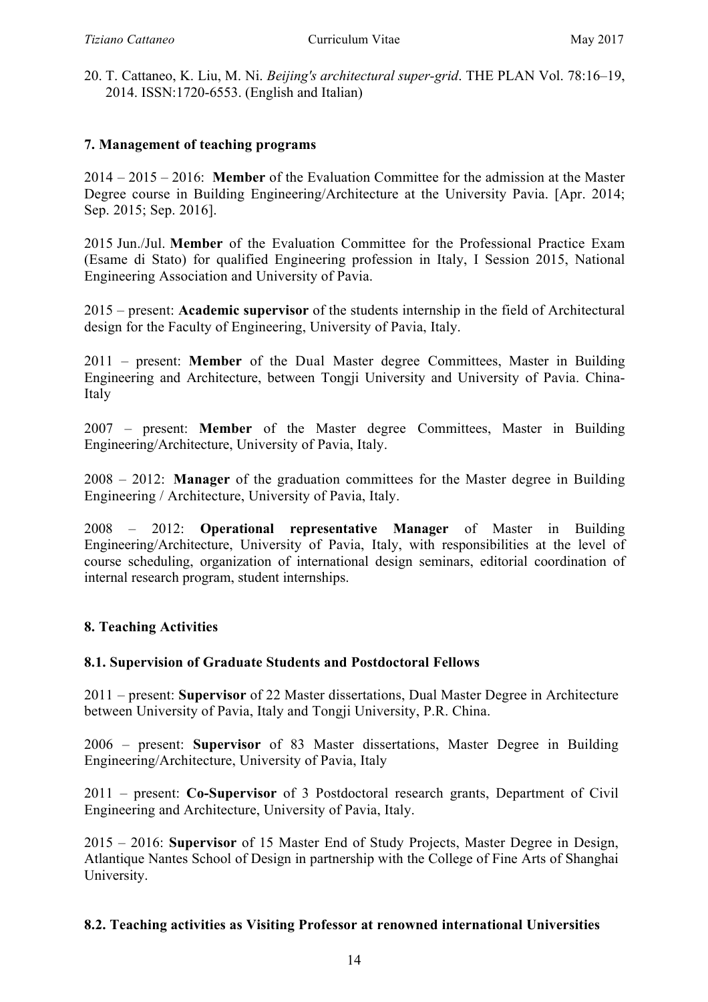20. T. Cattaneo, K. Liu, M. Ni. *Beijing's architectural super-grid*. THE PLAN Vol. 78:16–19, 2014. ISSN:1720-6553. (English and Italian)

### **7. Management of teaching programs**

2014 – 2015 – 2016: **Member** of the Evaluation Committee for the admission at the Master Degree course in Building Engineering/Architecture at the University Pavia. [Apr. 2014; Sep. 2015; Sep. 2016].

2015 Jun./Jul. **Member** of the Evaluation Committee for the Professional Practice Exam (Esame di Stato) for qualified Engineering profession in Italy, I Session 2015, National Engineering Association and University of Pavia.

2015 – present: **Academic supervisor** of the students internship in the field of Architectural design for the Faculty of Engineering, University of Pavia, Italy.

2011 – present: **Member** of the Dual Master degree Committees, Master in Building Engineering and Architecture, between Tongji University and University of Pavia. China-Italy

2007 – present: **Member** of the Master degree Committees, Master in Building Engineering/Architecture, University of Pavia, Italy.

2008 – 2012: **Manager** of the graduation committees for the Master degree in Building Engineering / Architecture, University of Pavia, Italy.

2008 – 2012: **Operational representative Manager** of Master in Building Engineering/Architecture, University of Pavia, Italy, with responsibilities at the level of course scheduling, organization of international design seminars, editorial coordination of internal research program, student internships.

# **8. Teaching Activities**

### **8.1. Supervision of Graduate Students and Postdoctoral Fellows**

2011 – present: **Supervisor** of 22 Master dissertations, Dual Master Degree in Architecture between University of Pavia, Italy and Tongii University, P.R. China.

2006 – present: **Supervisor** of 83 Master dissertations, Master Degree in Building Engineering/Architecture, University of Pavia, Italy

2011 – present: **Co-Supervisor** of 3 Postdoctoral research grants, Department of Civil Engineering and Architecture, University of Pavia, Italy.

2015 – 2016: **Supervisor** of 15 Master End of Study Projects, Master Degree in Design, Atlantique Nantes School of Design in partnership with the College of Fine Arts of Shanghai University.

### **8.2. Teaching activities as Visiting Professor at renowned international Universities**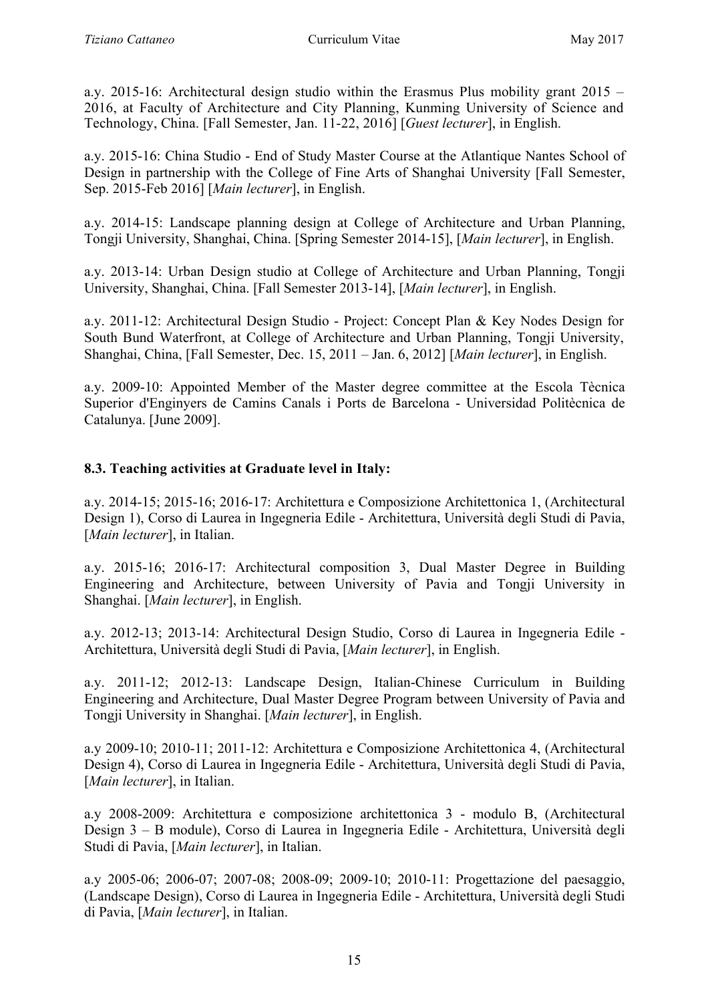a.y. 2015-16: Architectural design studio within the Erasmus Plus mobility grant 2015 – 2016, at Faculty of Architecture and City Planning, Kunming University of Science and Technology, China. [Fall Semester, Jan. 11-22, 2016] [*Guest lecturer*], in English.

a.y. 2015-16: China Studio - End of Study Master Course at the Atlantique Nantes School of Design in partnership with the College of Fine Arts of Shanghai University [Fall Semester, Sep. 2015-Feb 2016] [*Main lecturer*], in English.

a.y. 2014-15: Landscape planning design at College of Architecture and Urban Planning, Tongji University, Shanghai, China. [Spring Semester 2014-15], [*Main lecturer*], in English.

a.y. 2013-14: Urban Design studio at College of Architecture and Urban Planning, Tongji University, Shanghai, China. [Fall Semester 2013-14], [*Main lecturer*], in English.

a.y. 2011-12: Architectural Design Studio - Project: Concept Plan & Key Nodes Design for South Bund Waterfront, at College of Architecture and Urban Planning, Tongji University, Shanghai, China, [Fall Semester, Dec. 15, 2011 – Jan. 6, 2012] [*Main lecturer*], in English.

a.y. 2009-10: Appointed Member of the Master degree committee at the Escola Tècnica Superior d'Enginyers de Camins Canals i Ports de Barcelona - Universidad Politècnica de Catalunya. [June 2009].

# **8.3. Teaching activities at Graduate level in Italy:**

a.y. 2014-15; 2015-16; 2016-17: Architettura e Composizione Architettonica 1, (Architectural Design 1), Corso di Laurea in Ingegneria Edile - Architettura, Università degli Studi di Pavia, [*Main lecturer*], in Italian.

a.y. 2015-16; 2016-17: Architectural composition 3, Dual Master Degree in Building Engineering and Architecture, between University of Pavia and Tongji University in Shanghai. [*Main lecturer*], in English.

a.y. 2012-13; 2013-14: Architectural Design Studio, Corso di Laurea in Ingegneria Edile - Architettura, Università degli Studi di Pavia, [*Main lecturer*], in English.

a.y. 2011-12; 2012-13: Landscape Design, Italian-Chinese Curriculum in Building Engineering and Architecture, Dual Master Degree Program between University of Pavia and Tongji University in Shanghai. [*Main lecturer*], in English.

a.y 2009-10; 2010-11; 2011-12: Architettura e Composizione Architettonica 4, (Architectural Design 4), Corso di Laurea in Ingegneria Edile - Architettura, Università degli Studi di Pavia, [*Main lecturer*], in Italian.

a.y 2008-2009: Architettura e composizione architettonica 3 - modulo B, (Architectural Design 3 – B module), Corso di Laurea in Ingegneria Edile - Architettura, Università degli Studi di Pavia, [*Main lecturer*], in Italian.

a.y 2005-06; 2006-07; 2007-08; 2008-09; 2009-10; 2010-11: Progettazione del paesaggio, (Landscape Design), Corso di Laurea in Ingegneria Edile - Architettura, Università degli Studi di Pavia, [*Main lecturer*], in Italian.